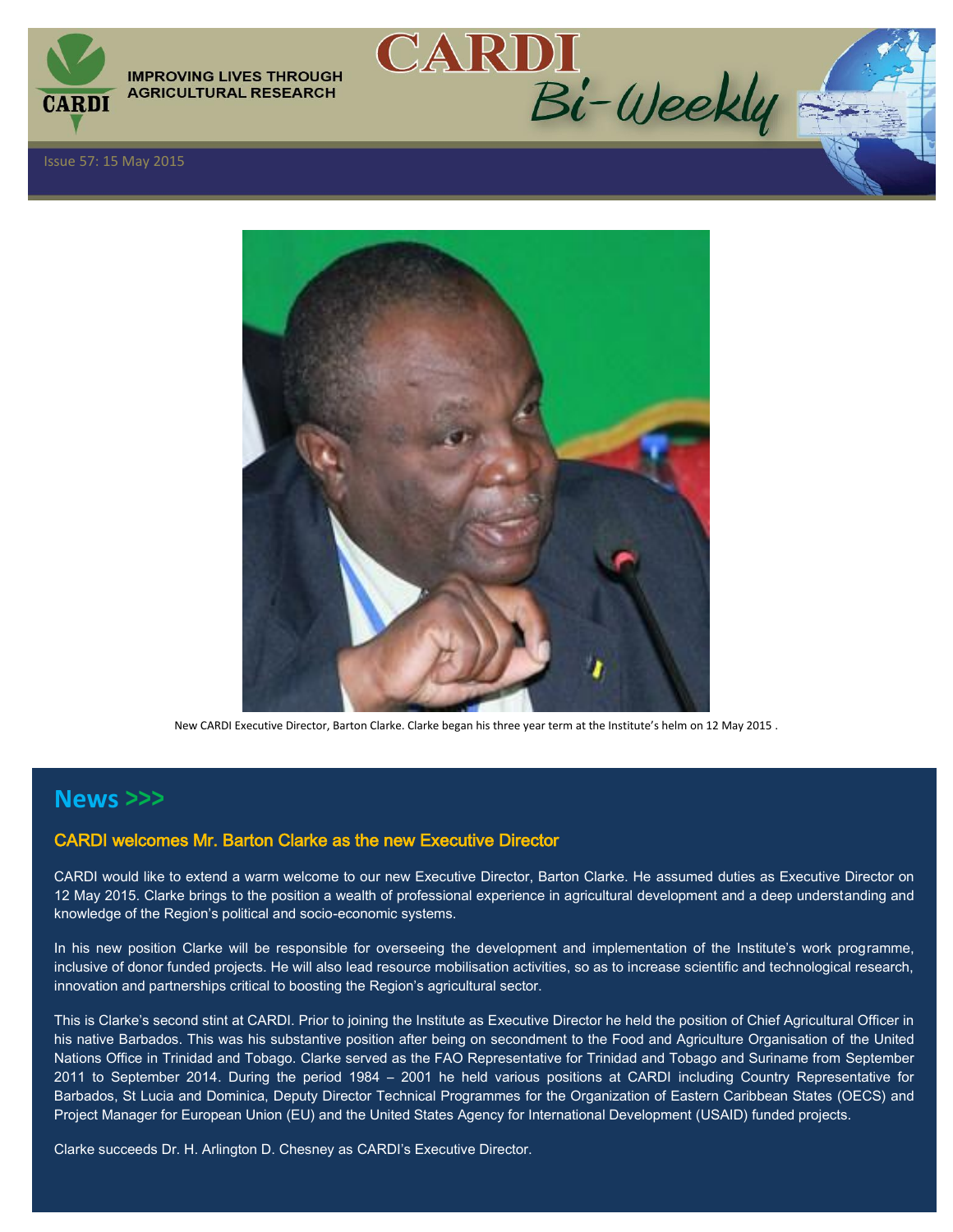

**IMPROVING LIVES THROUGH AGRICULTURAL RESEARCH** 



CARDI<br>Bi-Weekly

New CARDI Executive Director, Barton Clarke. Clarke began his three year term at the Institute's helm on 12 May 2015 .

## **News >>>**

### CARDI welcomes Mr. Barton Clarke as the new Executive Director

CARDI would like to extend a warm welcome to our new Executive Director, Barton Clarke. He assumed duties as Executive Director on 12 May 2015. Clarke brings to the position a wealth of professional experience in agricultural development and a deep understanding and knowledge of the Region's political and socio-economic systems.

In his new position Clarke will be responsible for overseeing the development and implementation of the Institute's work programme, inclusive of donor funded projects. He will also lead resource mobilisation activities, so as to increase scientific and technological research, innovation and partnerships critical to boosting the Region's agricultural sector.

This is Clarke's second stint at CARDI. Prior to joining the Institute as Executive Director he held the position of Chief Agricultural Officer in his native Barbados. This was his substantive position after being on secondment to the Food and Agriculture Organisation of the United Nations Office in Trinidad and Tobago. Clarke served as the FAO Representative for Trinidad and Tobago and Suriname from September 2011 to September 2014. During the period 1984 – 2001 he held various positions at CARDI including Country Representative for Barbados, St Lucia and Dominica, Deputy Director Technical Programmes for the Organization of Eastern Caribbean States (OECS) and Project Manager for European Union (EU) and the United States Agency for International Development (USAID) funded projects.

Clarke succeeds Dr. H. Arlington D. Chesney as CARDI's Executive Director.